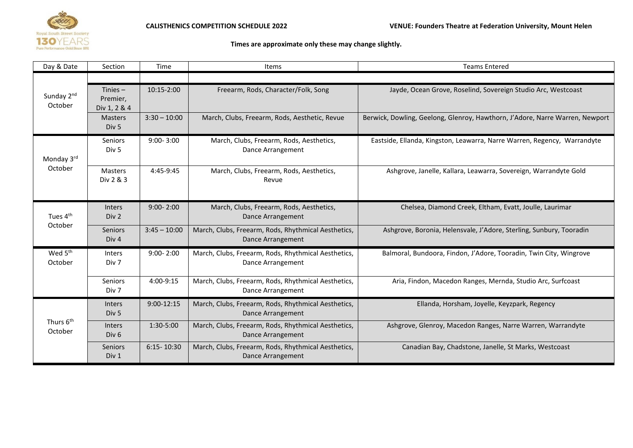

## **Times are approximate only these may change slightly.**

| Day & Date                       | Section                                | Time           | <b>Items</b>                                                                    | <b>Teams Entered</b>                                                         |
|----------------------------------|----------------------------------------|----------------|---------------------------------------------------------------------------------|------------------------------------------------------------------------------|
|                                  |                                        |                |                                                                                 |                                                                              |
| Sunday 2nd<br>October            | Tinies $-$<br>Premier,<br>Div 1, 2 & 4 | 10:15-2:00     | Freearm, Rods, Character/Folk, Song                                             | Jayde, Ocean Grove, Roselind, Sovereign Studio Arc, Westcoast                |
|                                  | <b>Masters</b><br>Div <sub>5</sub>     | $3:30 - 10:00$ | March, Clubs, Freearm, Rods, Aesthetic, Revue                                   | Berwick, Dowling, Geelong, Glenroy, Hawthorn, J'Adore, Narre Warren, Newport |
| Monday 3rd<br>October            | Seniors<br>Div 5                       | $9:00 - 3:00$  | March, Clubs, Freearm, Rods, Aesthetics,<br>Dance Arrangement                   | Eastside, Ellanda, Kingston, Leawarra, Narre Warren, Regency, Warrandyte     |
|                                  | <b>Masters</b><br>Div 2 & 3            | 4:45-9:45      | March, Clubs, Freearm, Rods, Aesthetics,<br>Revue                               | Ashgrove, Janelle, Kallara, Leawarra, Sovereign, Warrandyte Gold             |
| Tues 4 <sup>th</sup><br>October  | <b>Inters</b><br>Div 2                 | $9:00 - 2:00$  | March, Clubs, Freearm, Rods, Aesthetics,<br>Dance Arrangement                   | Chelsea, Diamond Creek, Eltham, Evatt, Joulle, Laurimar                      |
|                                  | <b>Seniors</b><br>Div <sub>4</sub>     | $3:45 - 10:00$ | March, Clubs, Freearm, Rods, Rhythmical Aesthetics,<br>Dance Arrangement        | Ashgrove, Boronia, Helensvale, J'Adore, Sterling, Sunbury, Tooradin          |
| Wed 5 <sup>th</sup><br>October   | <b>Inters</b><br>Div 7                 | $9:00 - 2:00$  | March, Clubs, Freearm, Rods, Rhythmical Aesthetics,<br>Dance Arrangement        | Balmoral, Bundoora, Findon, J'Adore, Tooradin, Twin City, Wingrove           |
|                                  | <b>Seniors</b><br>Div 7                | 4:00-9:15      | March, Clubs, Freearm, Rods, Rhythmical Aesthetics,<br>Dance Arrangement        | Aria, Findon, Macedon Ranges, Mernda, Studio Arc, Surfcoast                  |
| Thurs 6 <sup>th</sup><br>October | <b>Inters</b><br>Div <sub>5</sub>      | $9:00-12:15$   | March, Clubs, Freearm, Rods, Rhythmical Aesthetics,<br>Dance Arrangement        | Ellanda, Horsham, Joyelle, Keyzpark, Regency                                 |
|                                  | <b>Inters</b><br>Div <sub>6</sub>      | 1:30-5:00      | March, Clubs, Freearm, Rods, Rhythmical Aesthetics,<br>Dance Arrangement        | Ashgrove, Glenroy, Macedon Ranges, Narre Warren, Warrandyte                  |
|                                  | <b>Seniors</b><br>Div 1                | $6:15 - 10:30$ | March, Clubs, Freearm, Rods, Rhythmical Aesthetics,<br><b>Dance Arrangement</b> | Canadian Bay, Chadstone, Janelle, St Marks, Westcoast                        |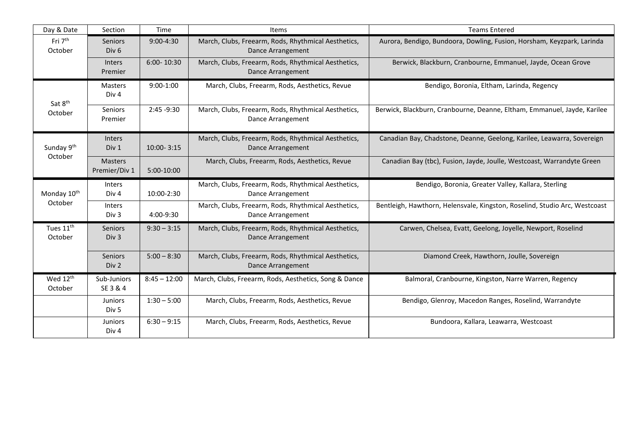| Day & Date                         | Section                            | Time           | Items                                                                    | <b>Teams Entered</b>                                                       |
|------------------------------------|------------------------------------|----------------|--------------------------------------------------------------------------|----------------------------------------------------------------------------|
| Fri 7 <sup>th</sup><br>October     | <b>Seniors</b><br>Div <sub>6</sub> | $9:00 - 4:30$  | March, Clubs, Freearm, Rods, Rhythmical Aesthetics,<br>Dance Arrangement | Aurora, Bendigo, Bundoora, Dowling, Fusion, Horsham, Keyzpark, Larinda     |
|                                    | <b>Inters</b><br>Premier           | 6:00-10:30     | March, Clubs, Freearm, Rods, Rhythmical Aesthetics,<br>Dance Arrangement | Berwick, Blackburn, Cranbourne, Emmanuel, Jayde, Ocean Grove               |
| Sat 8 <sup>th</sup><br>October     | Masters<br>Div <sub>4</sub>        | $9:00-1:00$    | March, Clubs, Freearm, Rods, Aesthetics, Revue                           | Bendigo, Boronia, Eltham, Larinda, Regency                                 |
|                                    | <b>Seniors</b><br>Premier          | 2:45 -9:30     | March, Clubs, Freearm, Rods, Rhythmical Aesthetics,<br>Dance Arrangement | Berwick, Blackburn, Cranbourne, Deanne, Eltham, Emmanuel, Jayde, Karilee   |
| Sunday 9th<br>October              | <b>Inters</b><br>Div 1             | 10:00-3:15     | March, Clubs, Freearm, Rods, Rhythmical Aesthetics,<br>Dance Arrangement | Canadian Bay, Chadstone, Deanne, Geelong, Karilee, Leawarra, Sovereign     |
|                                    | <b>Masters</b><br>Premier/Div 1    | 5:00-10:00     | March, Clubs, Freearm, Rods, Aesthetics, Revue                           | Canadian Bay (tbc), Fusion, Jayde, Joulle, Westcoast, Warrandyte Green     |
| Monday 10 <sup>th</sup><br>October | <b>Inters</b><br>Div <sub>4</sub>  | 10:00-2:30     | March, Clubs, Freearm, Rods, Rhythmical Aesthetics,<br>Dance Arrangement | Bendigo, Boronia, Greater Valley, Kallara, Sterling                        |
|                                    | <b>Inters</b><br>Div <sub>3</sub>  | 4:00-9:30      | March, Clubs, Freearm, Rods, Rhythmical Aesthetics,<br>Dance Arrangement | Bentleigh, Hawthorn, Helensvale, Kingston, Roselind, Studio Arc, Westcoast |
| Tues 11 <sup>th</sup><br>October   | <b>Seniors</b><br>Div <sub>3</sub> | $9:30 - 3:15$  | March, Clubs, Freearm, Rods, Rhythmical Aesthetics,<br>Dance Arrangement | Carwen, Chelsea, Evatt, Geelong, Joyelle, Newport, Roselind                |
|                                    | <b>Seniors</b><br>Div 2            | $5:00 - 8:30$  | March, Clubs, Freearm, Rods, Rhythmical Aesthetics,<br>Dance Arrangement | Diamond Creek, Hawthorn, Joulle, Sovereign                                 |
| Wed $12^{\text{th}}$<br>October    | Sub-Juniors<br>SE 3 & 4            | $8:45 - 12:00$ | March, Clubs, Freearm, Rods, Aesthetics, Song & Dance                    | Balmoral, Cranbourne, Kingston, Narre Warren, Regency                      |
|                                    | <b>Juniors</b><br>Div <sub>5</sub> | $1:30 - 5:00$  | March, Clubs, Freearm, Rods, Aesthetics, Revue                           | Bendigo, Glenroy, Macedon Ranges, Roselind, Warrandyte                     |
|                                    | <b>Juniors</b><br>Div <sub>4</sub> | $6:30 - 9:15$  | March, Clubs, Freearm, Rods, Aesthetics, Revue                           | Bundoora, Kallara, Leawarra, Westcoast                                     |